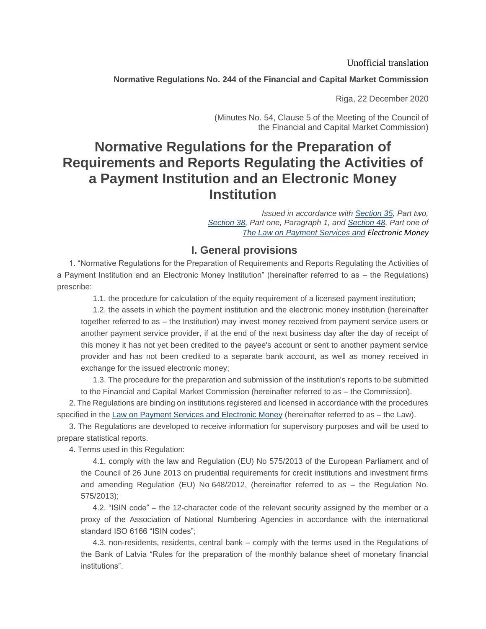Unofficial translation

**Normative Regulations No. 244 of the Financial and Capital Market Commission**

Riga, 22 December 2020

(Minutes No. 54, Clause 5 of the Meeting of the Council of the Financial and Capital Market Commission)

# **Normative Regulations for the Preparation of Requirements and Reports Regulating the Activities of a Payment Institution and an Electronic Money Institution**

*Issued in accordance with [Section](https://m.likumi.lv/ta/id/206634-maksajumu-pakalpojumu-un-elektroniskas-naudas-likums#p35) 35, Part two[,](https://m.likumi.lv/ta/id/206634-maksajumu-pakalpojumu-un-elektroniskas-naudas-likums) [Section 38,](https://m.likumi.lv/ta/id/206634-maksajumu-pakalpojumu-un-elektroniskas-naudas-likums#p38) Part one, Paragraph 1, and [Section](https://m.likumi.lv/ta/id/206634-maksajumu-pakalpojumu-un-elektroniskas-naudas-likums#p48) 48, Part one of [The Law on Payment Services and](https://m.likumi.lv/ta/id/206634-maksajumu-pakalpojumu-un-elektroniskas-naudas-likums) [Electronic Money](https://m.likumi.lv/ta/id/206634-maksajumu-pakalpojumu-un-elektroniskas-naudas-likums)*

### **I. General provisions**

1. "Normative Regulations for the Preparation of Requirements and Reports Regulating the Activities of a Payment Institution and an Electronic Money Institution" (hereinafter referred to as – the Regulations) prescribe:

1.1. the procedure for calculation of the equity requirement of a licensed payment institution;

1.2. the assets in which the payment institution and the electronic money institution (hereinafter together referred to as – the Institution) may invest money received from payment service users or another payment service provider, if at the end of the next business day after the day of receipt of this money it has not yet been credited to the payee's account or sent to another payment service provider and has not been credited to a separate bank account, as well as money received in exchange for the issued electronic money;

1.3. The procedure for the preparation and submission of the institution's reports to be submitted to the Financial and Capital Market Commission (hereinafter referred to as – the Commission).

2. The Regulations are binding on institutions registered and licensed in accordance with the procedures specified in the [Law on Payment Services and Electronic Money](https://m.likumi.lv/ta/id/206634-maksajumu-pakalpojumu-un-elektroniskas-naudas-likums) (hereinafter referred to as – the Law).

3. The Regulations are developed to receive information for supervisory purposes and will be used to prepare statistical reports.

4. Terms used in this Regulation:

4.1. comply with the law and Regulation (EU) No 575/2013 of the European Parliament and of the Council of 26 June 2013 on prudential requirements for credit institutions and investment firms and amending Regulation (EU) No 648/2012, (hereinafter referred to as – the Regulation No. 575/2013);

4.2. "ISIN code" – the 12-character code of the relevant security assigned by the member or a proxy of the Association of National Numbering Agencies in accordance with the international standard ISO 6166 "ISIN codes";

4.3. non-residents, residents, central bank – comply with the terms used in the Regulations of the Bank of Latvia "Rules for the preparation of the monthly balance sheet of monetary financial institutions".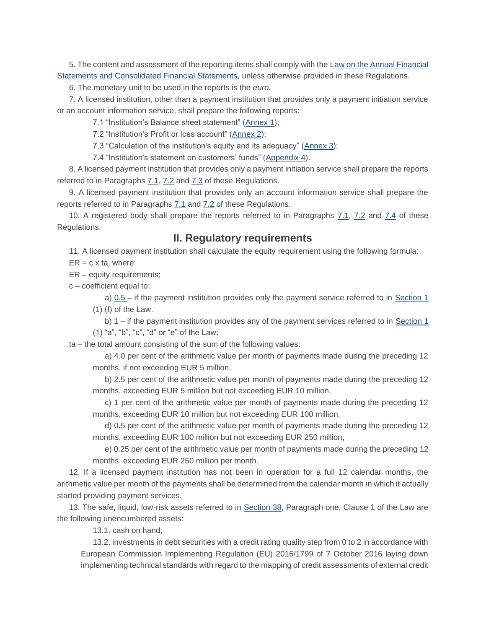5. The content and assessment of the reporting items shall comply with the [Law on the Annual Financial](https://m.likumi.lv/ta/id/277779-gada-parskatu-un-konsolideto-gada-parskatu-likums)  [Statements and Consolidated Financial Statements,](https://m.likumi.lv/ta/id/277779-gada-parskatu-un-konsolideto-gada-parskatu-likums) unless otherwise provided in these Regulations.

6. The monetary unit to be used in the reports is the *euro*.

7. A licensed institution, other than a payment institution that provides only a payment initiation service or an account information service, shall prepare the following reports:

7.1 "Institution's Balance sheet statement" [\(Annex 1\)](https://m.likumi.lv/ta/id/320097#piel1);

7.2 "Institution's Profit or loss account" [\(Annex 2\)](https://m.likumi.lv/ta/id/320097#piel2);

7.3 "Calculation of the institution's equity and its adequacy" [\(Annex 3\)](https://m.likumi.lv/ta/id/320097#piel3);

7.4 "Institution's statement on customers' funds" [\(Appendix 4\)](https://m.likumi.lv/ta/id/320097#piel4).

8. A licensed payment institution that provides only a payment initiation service shall prepare the reports referred to in Paragraphs [7.1,](https://m.likumi.lv/ta/id/320097#p7.1) [7.2](https://m.likumi.lv/ta/id/320097#p7.2) and [7.3](https://m.likumi.lv/ta/id/320097#p7.3) of these Regulations.

9. A licensed payment institution that provides only an account information service shall prepare the reports referred to in Paragraphs [7.1](https://m.likumi.lv/ta/id/320097#p7.1) and [7.2](https://m.likumi.lv/ta/id/320097#p7.2) of these Regulations.

10. A registered body shall prepare the reports referred to in Paragraphs [7.1,](https://m.likumi.lv/ta/id/320097#p7.1) [7.2](https://m.likumi.lv/ta/id/320097#p7.2) and [7.4](https://m.likumi.lv/ta/id/320097#p7.4) of these Regulations.

### **II. Regulatory requirements**

11. A licensed payment institution shall calculate the equity requirement using the following formula:

 $ER = c \times ta$ , where:

ER – equity requirements;

c – coefficient equal to:

a) [0.5](https://m.likumi.lv/ta/id/320097#p0.5) – if the payment institution provides only the payment service referred to in [Section 1](https://m.likumi.lv/ta/id/320097#p1) (1) (f) of the Law.

b) 1 – if the payment institution provides any of the payment services referred to in [Section 1](https://m.likumi.lv/ta/id/320097#p1) (1) "a", "b", "c", "d" or "e" of the Law;

ta – the total amount consisting of the sum of the following values:

a) 4.0 per cent of the arithmetic value per month of payments made during the preceding 12 months, if not exceeding EUR 5 million,

b) 2.5 per cent of the arithmetic value per month of payments made during the preceding 12 months, exceeding EUR 5 million but not exceeding EUR 10 million,

c) 1 per cent of the arithmetic value per month of payments made during the preceding 12 months, exceeding EUR 10 million but not exceeding EUR 100 million,

d) 0.5 per cent of the arithmetic value per month of payments made during the preceding 12 months, exceeding EUR 100 million but not exceeding EUR 250 million,

e) 0.25 per cent of the arithmetic value per month of payments made during the preceding 12 months, exceeding EUR 250 million per month.

12. If a licensed payment institution has not been in operation for a full 12 calendar months, the arithmetic value per month of the payments shall be determined from the calendar month in which it actually started providing payment services.

13. The safe, liquid, low-risk assets referred to in [Section 38,](https://m.likumi.lv/ta/id/320097#p38) Paragraph one, Clause 1 of the Law are the following unencumbered assets:

13.1. cash on hand;

13.2. investments in debt securities with a credit rating quality step from 0 to 2 in accordance with European Commission Implementing Regulation (EU) 2016/1799 of 7 October 2016 laying down implementing technical standards with regard to the mapping of credit assessments of external credit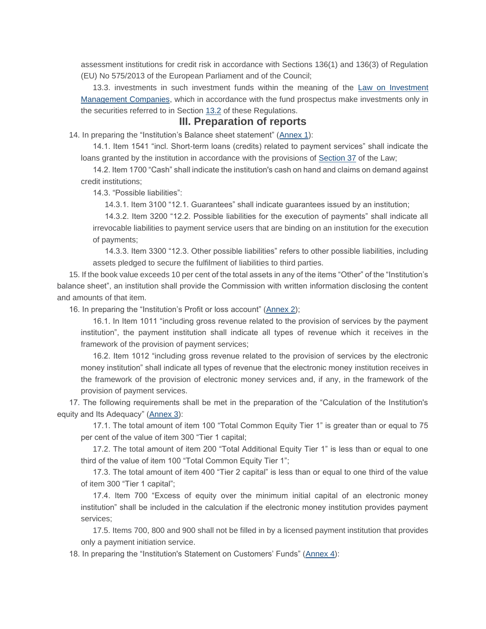assessment institutions for credit risk in accordance with Sections 136(1) and 136(3) of Regulation (EU) No 575/2013 of the European Parliament and of the Council;

13.3. investments in such investment funds within the meaning of the Law on Investment [Management Companies,](https://m.likumi.lv/ta/id/52953-ieguldijumu-parvaldes-sabiedribu-likums) which in accordance with the fund prospectus make investments only in the securities referred to in Section [13.2](https://m.likumi.lv/ta/id/320097#p13.2) of these Regulations.

#### **III. Preparation of reports**

14. In preparing the "Institution's Balance sheet statement" [\(Annex 1\)](https://m.likumi.lv/ta/id/320097#piel1):

14.1. Item 1541 "incl. Short-term loans (credits) related to payment services" shall indicate the loans granted by the institution in accordance with the provisions of [Section 37](https://m.likumi.lv/ta/id/320097#p37) of the Law;

14.2. Item 1700 "Cash" shall indicate the institution's cash on hand and claims on demand against credit institutions;

14.3. "Possible liabilities":

14.3.1. Item 3100 "12.1. Guarantees" shall indicate guarantees issued by an institution;

14.3.2. Item 3200 "12.2. Possible liabilities for the execution of payments" shall indicate all irrevocable liabilities to payment service users that are binding on an institution for the execution of payments;

14.3.3. Item 3300 "12.3. Other possible liabilities" refers to other possible liabilities, including assets pledged to secure the fulfilment of liabilities to third parties.

15. If the book value exceeds 10 per cent of the total assets in any of the items "Other" of the "Institution's balance sheet", an institution shall provide the Commission with written information disclosing the content and amounts of that item.

16. In preparing the "Institution's Profit or loss account" [\(Annex 2\)](https://m.likumi.lv/ta/id/320097#piel2);

16.1. In Item 1011 "including gross revenue related to the provision of services by the payment institution", the payment institution shall indicate all types of revenue which it receives in the framework of the provision of payment services;

16.2. Item 1012 "including gross revenue related to the provision of services by the electronic money institution" shall indicate all types of revenue that the electronic money institution receives in the framework of the provision of electronic money services and, if any, in the framework of the provision of payment services.

17. The following requirements shall be met in the preparation of the "Calculation of the Institution's equity and Its Adequacy" [\(Annex 3\)](https://m.likumi.lv/ta/id/320097#piel3):

17.1. The total amount of item 100 "Total Common Equity Tier 1" is greater than or equal to 75 per cent of the value of item 300 "Tier 1 capital;

17.2. The total amount of item 200 "Total Additional Equity Tier 1" is less than or equal to one third of the value of item 100 "Total Common Equity Tier 1";

17.3. The total amount of item 400 "Tier 2 capital" is less than or equal to one third of the value of item 300 "Tier 1 capital";

17.4. Item 700 "Excess of equity over the minimum initial capital of an electronic money institution" shall be included in the calculation if the electronic money institution provides payment services;

17.5. Items 700, 800 and 900 shall not be filled in by a licensed payment institution that provides only a payment initiation service.

18. In preparing the "Institution's Statement on Customers' Funds" [\(Annex 4\)](https://m.likumi.lv/ta/id/320097#piel4):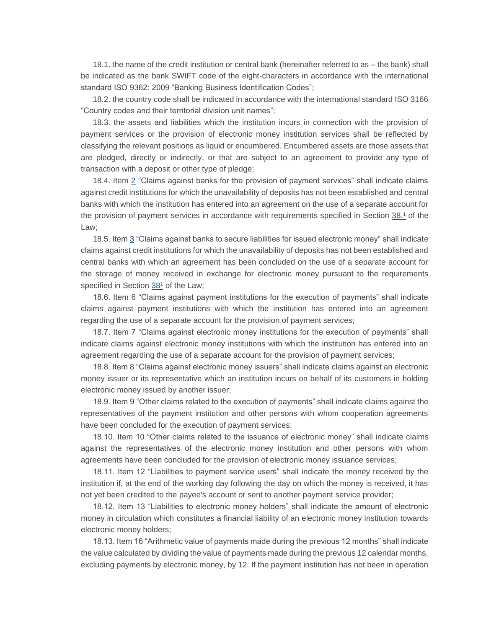18.1. the name of the credit institution or central bank (hereinafter referred to as – the bank) shall be indicated as the bank SWIFT code of the eight-characters in accordance with the international standard ISO 9362: 2009 "Banking Business Identification Codes";

18.2. the country code shall be indicated in accordance with the international standard ISO 3166 "Country codes and their territorial division unit names";

18.3. the assets and liabilities which the institution incurs in connection with the provision of payment services or the provision of electronic money institution services shall be reflected by classifying the relevant positions as liquid or encumbered. Encumbered assets are those assets that are pledged, directly or indirectly, or that are subject to an agreement to provide any type of transaction with a deposit or other type of pledge;

18.4. Item [2](https://m.likumi.lv/ta/id/320097#p2) "Claims against banks for the provision of payment services" shall indicate claims against credit institutions for which the unavailability of deposits has not been established and central banks with which the institution has entered into an agreement on the use of a separate account for the provision of payment services in accordance with requirements specified in Section [38.](https://m.likumi.lv/ta/id/320097#p38_1)<sup>1</sup> of the Law;

18.5. Ite[m 3](https://m.likumi.lv/ta/id/320097#p3) "Claims against banks to secure liabilities for issued electronic money" shall indicate claims against credit institutions for which the unavailability of deposits has not been established and central banks with which an agreement has been concluded on the use of a separate account for the storage of money received in exchange for electronic money pursuant to the requirements specified in Section [38](https://m.likumi.lv/ta/id/320097#p38_1)<sup>1</sup> of the Law;

18.6. Item 6 "Claims against payment institutions for the execution of payments" shall indicate claims against payment institutions with which the institution has entered into an agreement regarding the use of a separate account for the provision of payment services;

18.7. Item 7 "Claims against electronic money institutions for the execution of payments" shall indicate claims against electronic money institutions with which the institution has entered into an agreement regarding the use of a separate account for the provision of payment services;

18.8. Item 8 "Claims against electronic money issuers" shall indicate claims against an electronic money issuer or its representative which an institution incurs on behalf of its customers in holding electronic money issued by another issuer;

18.9. Item 9 "Other claims related to the execution of payments" shall indicate claims against the representatives of the payment institution and other persons with whom cooperation agreements have been concluded for the execution of payment services;

18.10. Item 10 "Other claims related to the issuance of electronic money" shall indicate claims against the representatives of the electronic money institution and other persons with whom agreements have been concluded for the provision of electronic money issuance services;

18.11. Item 12 "Liabilities to payment service users" shall indicate the money received by the institution if, at the end of the working day following the day on which the money is received, it has not yet been credited to the payee's account or sent to another payment service provider;

18.12. Item 13 "Liabilities to electronic money holders" shall indicate the amount of electronic money in circulation which constitutes a financial liability of an electronic money institution towards electronic money holders;

18.13. Item 16 "Arithmetic value of payments made during the previous 12 months" shall indicate the value calculated by dividing the value of payments made during the previous 12 calendar months, excluding payments by electronic money, by 12. If the payment institution has not been in operation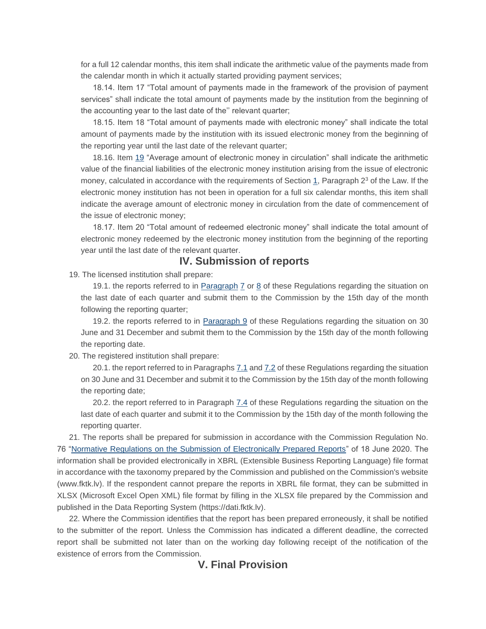for a full 12 calendar months, this item shall indicate the arithmetic value of the payments made from the calendar month in which it actually started providing payment services;

18.14. Item 17 "Total amount of payments made in the framework of the provision of payment services" shall indicate the total amount of payments made by the institution from the beginning of the accounting year to the last date of the'' relevant quarter;

18.15. Item 18 "Total amount of payments made with electronic money" shall indicate the total amount of payments made by the institution with its issued electronic money from the beginning of the reporting year until the last date of the relevant quarter;

18.16. Item [19](https://m.likumi.lv/ta/id/320097#p19) "Average amount of electronic money in circulation" shall indicate the arithmetic value of the financial liabilities of the electronic money institution arising from the issue of electronic money, calculated in accordance with the requirements of Section [1,](https://m.likumi.lv/ta/id/320097#p1) Paragraph  $2<sup>3</sup>$  of the Law. If the electronic money institution has not been in operation for a full six calendar months, this item shall indicate the average amount of electronic money in circulation from the date of commencement of the issue of electronic money;

18.17. Item 20 "Total amount of redeemed electronic money" shall indicate the total amount of electronic money redeemed by the electronic money institution from the beginning of the reporting year until the last date of the relevant quarter.

#### **IV. Submission of reports**

19. The licensed institution shall prepare:

19.1. the reports referred to in [Paragraph](https://m.likumi.lv/ta/id/320097#p8) [7](https://m.likumi.lv/ta/id/320097#p7) or [8](https://m.likumi.lv/ta/id/320097#p8) of these Regulations regarding the situation on the last date of each quarter and submit them to the Commission by the 15th day of the month following the reporting quarter;

19.2. the reports referred to in [Paragraph 9](https://m.likumi.lv/ta/id/320097#p9) of these Regulations regarding the situation on 30 June and 31 December and submit them to the Commission by the 15th day of the month following the reporting date.

20. The registered institution shall prepare:

20.1. the report referred to in Paragraphs [7.1](https://m.likumi.lv/ta/id/320097#p7.1) and [7.2](https://m.likumi.lv/ta/id/320097#p7.2) of these Regulations regarding the situation on 30 June and 31 December and submit it to the Commission by the 15th day of the month following the reporting date;

20.2. the report referred to in Paragraph [7.4](https://m.likumi.lv/ta/id/320097#p7.4) of these Regulations regarding the situation on the last date of each quarter and submit it to the Commission by the 15th day of the month following the reporting quarter.

21. The reports shall be prepared for submission in accordance with the Commission Regulation No. 76 ["Normative Regulations on the Submission of Electronically Prepared Reports"](https://m.likumi.lv/ta/id/315619-elektroniski-sagatavoto-parskatu-iesniegsanas-normativie-noteikumi) of 18 June 2020. The information shall be provided electronically in XBRL (Extensible Business Reporting Language) file format in accordance with the taxonomy prepared by the Commission and published on the Commission's website (www.fktk.lv). If the respondent cannot prepare the reports in XBRL file format, they can be submitted in XLSX (Microsoft Excel Open XML) file format by filling in the XLSX file prepared by the Commission and published in the Data Reporting System (https://dati.fktk.lv).

22. Where the Commission identifies that the report has been prepared erroneously, it shall be notified to the submitter of the report. Unless the Commission has indicated a different deadline, the corrected report shall be submitted not later than on the working day following receipt of the notification of the existence of errors from the Commission.

### **V. Final Provision**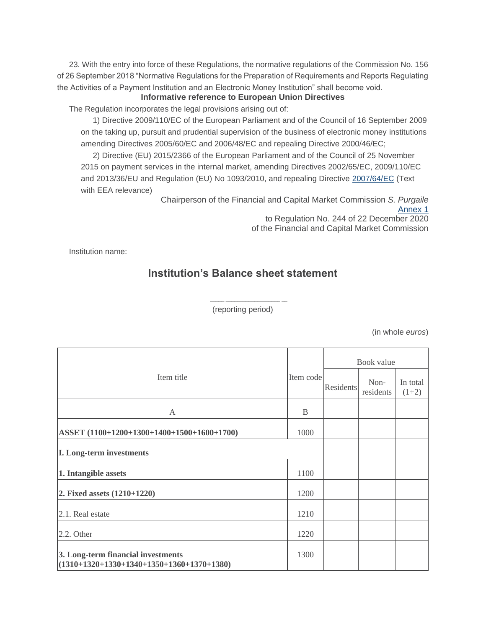23. With the entry into force of these Regulations, the normative regulations of the Commission No. 156 of 26 September 2018 "Normative Regulations for the Preparation of Requirements and Reports Regulating the Activities of a Payment Institution and an Electronic Money Institution" shall become void.

#### **Informative reference to European Union Directives**

The Regulation incorporates the legal provisions arising out of:

1) Directive 2009/110/EC of the European Parliament and of the Council of 16 September 2009 on the taking up, pursuit and prudential supervision of the business of electronic money institutions amending Directives 2005/60/EC and 2006/48/EC and repealing Directive 2000/46/EC;

2) Directive (EU) 2015/2366 of the European Parliament and of the Council of 25 November 2015 on payment services in the internal market, amending Directives 2002/65/EC, 2009/110/EC and 2013/36/EU and Regulation (EU) No 1093/2010, and repealing Directive [2007/64/EC](http://eur-lex.europa.eu/eli/dir/2007/64/oj/?locale=LV) (Text with EEA relevance)

Chairperson of the Financial and Capital Market Commission *S. Purgaile* [Annex](https://m.likumi.lv/wwwraksti/2021/006/BILDES/FKTK_244/P1.DOCX) 1

to Regulation No. 244 of 22 December 2020 of the Financial and Capital Market Commission

Institution name:

### **Institution's Balance sheet statement**

\_\_\_\_\_ \_\_\_\_\_\_\_\_\_\_\_\_\_\_\_\_\_\_\_ \_\_ (reporting period)

|                                                                                   |           |           | Book value        |                     |
|-----------------------------------------------------------------------------------|-----------|-----------|-------------------|---------------------|
| Item title                                                                        | Item code | Residents | Non-<br>residents | In total<br>$(1+2)$ |
| A                                                                                 | B         |           |                   |                     |
| ASSET (1100+1200+1300+1400+1500+1600+1700)                                        | 1000      |           |                   |                     |
| <b>I. Long-term investments</b>                                                   |           |           |                   |                     |
| 1. Intangible assets                                                              | 1100      |           |                   |                     |
| 2. Fixed assets $(1210+1220)$                                                     | 1200      |           |                   |                     |
| $ 2.1$ . Real estate                                                              | 1210      |           |                   |                     |
| $2.2.$ Other                                                                      | 1220      |           |                   |                     |
| 3. Long-term financial investments<br>$(1310+1320+1330+1340+1350+1360+1370+1380)$ | 1300      |           |                   |                     |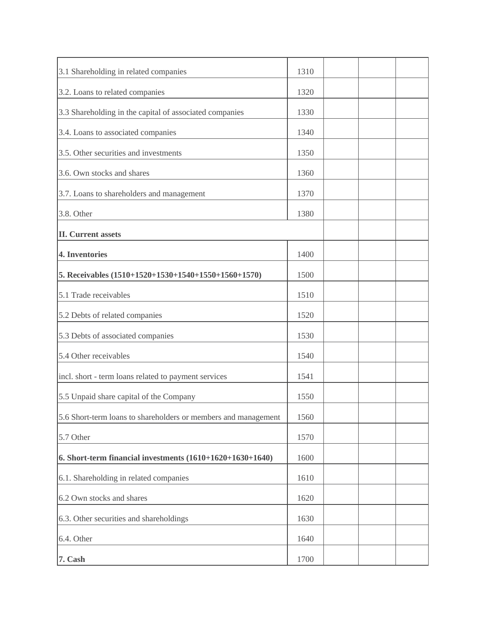| 3.1 Shareholding in related companies                          | 1310 |  |  |
|----------------------------------------------------------------|------|--|--|
| 3.2. Loans to related companies                                | 1320 |  |  |
| 3.3 Shareholding in the capital of associated companies        | 1330 |  |  |
| 3.4. Loans to associated companies                             | 1340 |  |  |
| 3.5. Other securities and investments                          | 1350 |  |  |
| 3.6. Own stocks and shares                                     | 1360 |  |  |
| 3.7. Loans to shareholders and management                      | 1370 |  |  |
| 3.8. Other                                                     | 1380 |  |  |
| <b>II.</b> Current assets                                      |      |  |  |
| 4. Inventories                                                 | 1400 |  |  |
| 5. Receivables (1510+1520+1530+1540+1550+1560+1570)            | 1500 |  |  |
| 5.1 Trade receivables                                          | 1510 |  |  |
| 5.2 Debts of related companies                                 | 1520 |  |  |
| 5.3 Debts of associated companies                              | 1530 |  |  |
| 5.4 Other receivables                                          | 1540 |  |  |
| incl. short - term loans related to payment services           | 1541 |  |  |
| 5.5 Unpaid share capital of the Company                        | 1550 |  |  |
| 5.6 Short-term loans to shareholders or members and management | 1560 |  |  |
| 5.7 Other                                                      | 1570 |  |  |
| 6. Short-term financial investments $(1610+1620+1630+1640)$    | 1600 |  |  |
| 6.1. Shareholding in related companies                         | 1610 |  |  |
| 6.2 Own stocks and shares                                      | 1620 |  |  |
| 6.3. Other securities and shareholdings                        | 1630 |  |  |
| 6.4. Other                                                     | 1640 |  |  |
| 7. Cash                                                        | 1700 |  |  |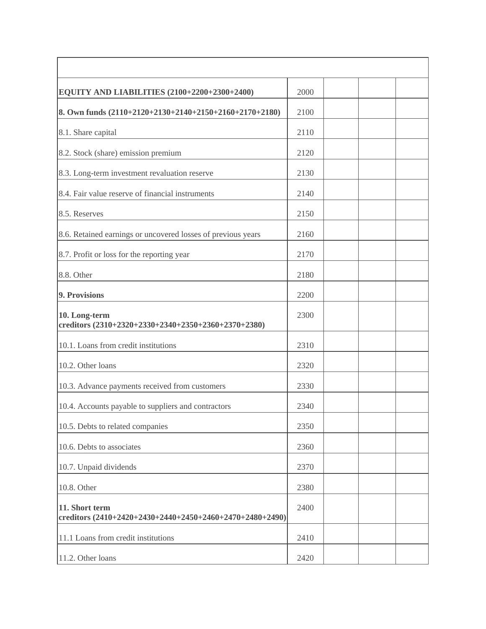| EQUITY AND LIABILITIES (2100+2200+2300+2400)                               | 2000 |  |
|----------------------------------------------------------------------------|------|--|
| 8. Own funds (2110+2120+2130+2140+2150+2160+2170+2180)                     | 2100 |  |
| 8.1. Share capital                                                         | 2110 |  |
| 8.2. Stock (share) emission premium                                        | 2120 |  |
| 8.3. Long-term investment revaluation reserve                              | 2130 |  |
| 8.4. Fair value reserve of financial instruments                           | 2140 |  |
| 8.5. Reserves                                                              | 2150 |  |
| 8.6. Retained earnings or uncovered losses of previous years               | 2160 |  |
| 8.7. Profit or loss for the reporting year                                 | 2170 |  |
| 8.8. Other                                                                 | 2180 |  |
| 9. Provisions                                                              | 2200 |  |
| 10. Long-term<br>creditors (2310+2320+2330+2340+2350+2360+2370+2380)       | 2300 |  |
| 10.1. Loans from credit institutions                                       | 2310 |  |
| 10.2. Other loans                                                          | 2320 |  |
| 10.3. Advance payments received from customers                             | 2330 |  |
| 10.4. Accounts payable to suppliers and contractors                        | 2340 |  |
| 10.5. Debts to related companies                                           | 2350 |  |
| 10.6. Debts to associates                                                  | 2360 |  |
| 10.7. Unpaid dividends                                                     | 2370 |  |
| 10.8. Other                                                                | 2380 |  |
| 11. Short term<br>creditors (2410+2420+2430+2440+2450+2460+2470+2480+2490) | 2400 |  |
| 11.1 Loans from credit institutions                                        | 2410 |  |
| 11.2. Other loans                                                          | 2420 |  |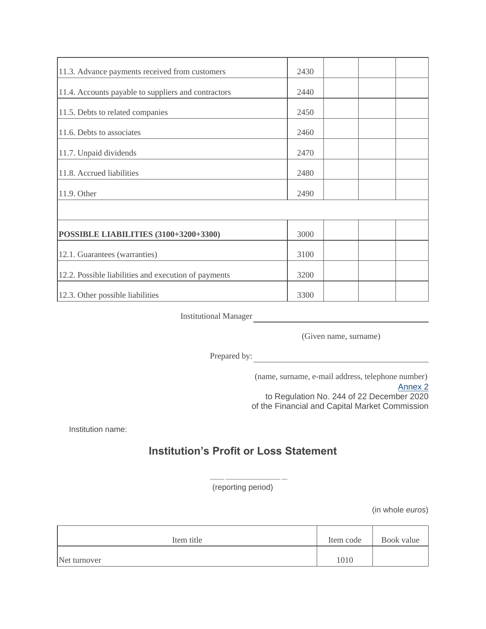| 11.3. Advance payments received from customers       | 2430 |  |
|------------------------------------------------------|------|--|
| 11.4. Accounts payable to suppliers and contractors  | 2440 |  |
| 11.5. Debts to related companies                     | 2450 |  |
| 11.6. Debts to associates                            | 2460 |  |
| 11.7. Unpaid dividends                               | 2470 |  |
| 11.8. Accrued liabilities                            | 2480 |  |
| 11.9. Other                                          | 2490 |  |
|                                                      |      |  |
| <b>POSSIBLE LIABILITIES (3100+3200+3300)</b>         | 3000 |  |
| 12.1. Guarantees (warranties)                        | 3100 |  |
| 12.2. Possible liabilities and execution of payments | 3200 |  |
| 12.3. Other possible liabilities                     | 3300 |  |

(Given name, surname)

Prepared by:

(name, surname, e-mail address, telephone number)

[Annex](https://m.likumi.lv/wwwraksti/2021/006/BILDES/FKTK_244/P2.DOCX) 2 to Regulation No. 244 of 22 December 2020 of the Financial and Capital Market Commission

Institution name:

## **Institution's Profit or Loss Statement**

\_\_\_\_\_ \_\_\_\_\_\_\_\_\_\_\_\_\_\_\_\_\_\_\_ \_\_ (reporting period)

| Item title   | Item code | Book value |
|--------------|-----------|------------|
| Net turnover | 1010      |            |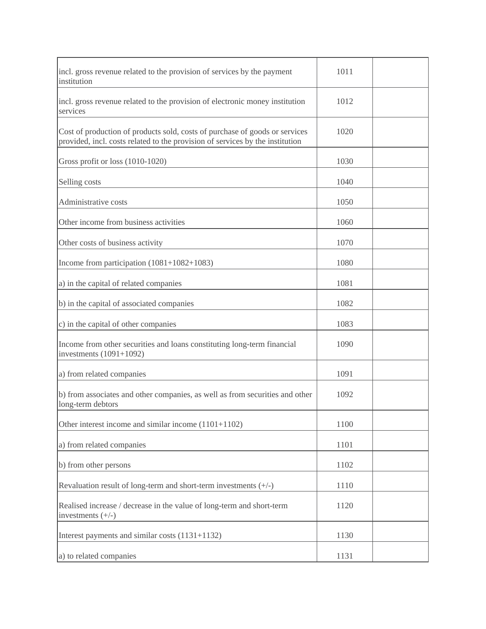| incl. gross revenue related to the provision of services by the payment<br>institution                                                                       | 1011 |  |
|--------------------------------------------------------------------------------------------------------------------------------------------------------------|------|--|
| incl. gross revenue related to the provision of electronic money institution<br>services                                                                     | 1012 |  |
| Cost of production of products sold, costs of purchase of goods or services<br>provided, incl. costs related to the provision of services by the institution | 1020 |  |
| Gross profit or loss (1010-1020)                                                                                                                             | 1030 |  |
| Selling costs                                                                                                                                                | 1040 |  |
| Administrative costs                                                                                                                                         | 1050 |  |
| Other income from business activities                                                                                                                        | 1060 |  |
| Other costs of business activity                                                                                                                             | 1070 |  |
| Income from participation $(1081+1082+1083)$                                                                                                                 | 1080 |  |
| a) in the capital of related companies                                                                                                                       | 1081 |  |
| b) in the capital of associated companies                                                                                                                    | 1082 |  |
| c) in the capital of other companies                                                                                                                         | 1083 |  |
| Income from other securities and loans constituting long-term financial<br>investments $(1091+1092)$                                                         | 1090 |  |
| a) from related companies                                                                                                                                    | 1091 |  |
| b) from associates and other companies, as well as from securities and other<br>long-term debtors                                                            | 1092 |  |
| Other interest income and similar income $(1101+1102)$                                                                                                       | 1100 |  |
| a) from related companies                                                                                                                                    | 1101 |  |
| b) from other persons                                                                                                                                        | 1102 |  |
| Revaluation result of long-term and short-term investments $(+/-)$                                                                                           | 1110 |  |
| Realised increase / decrease in the value of long-term and short-term<br>investments $(+/-)$                                                                 | 1120 |  |
| Interest payments and similar costs (1131+1132)                                                                                                              | 1130 |  |
| a) to related companies                                                                                                                                      | 1131 |  |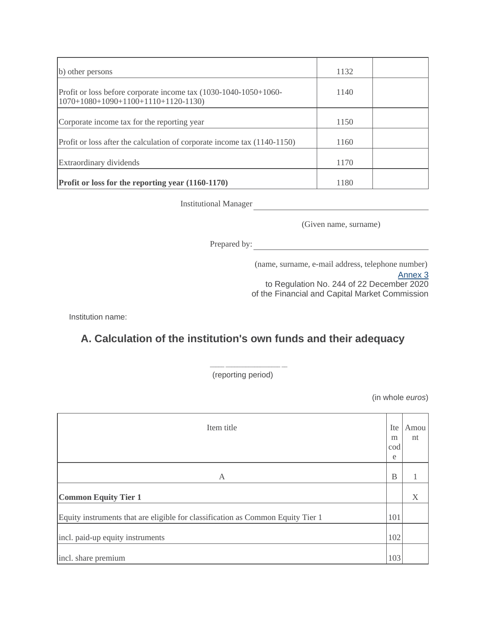| b) other persons                                                                                         | 1132 |  |
|----------------------------------------------------------------------------------------------------------|------|--|
| Profit or loss before corporate income tax (1030-1040-1050+1060-<br>$1070+1080+1090+1100+1110+1120-1130$ | 1140 |  |
| Corporate income tax for the reporting year                                                              | 1150 |  |
| Profit or loss after the calculation of corporate income tax (1140-1150)                                 | 1160 |  |
| Extraordinary dividends                                                                                  | 1170 |  |
| Profit or loss for the reporting year (1160-1170)                                                        | 1180 |  |

(Given name, surname)

Prepared by:

(name, surname, e-mail address, telephone number)

[Annex](https://m.likumi.lv/wwwraksti/2021/006/BILDES/FKTK_244/P3.DOCX) 3

to Regulation No. 244 of 22 December 2020 of the Financial and Capital Market Commission

Institution name:

## **A. Calculation of the institution's own funds and their adequacy**

(reporting period)

\_\_\_\_\_ \_\_\_\_\_\_\_\_\_\_\_\_\_\_\_\_\_\_\_ \_\_

| Item title                                                                      | Ite<br>m<br>cod<br>e | Amou<br>nt |
|---------------------------------------------------------------------------------|----------------------|------------|
|                                                                                 |                      |            |
| A                                                                               | B                    |            |
| <b>Common Equity Tier 1</b>                                                     |                      | X          |
| Equity instruments that are eligible for classification as Common Equity Tier 1 | 101                  |            |
| incl. paid-up equity instruments                                                | 102                  |            |
| incl. share premium                                                             | 103                  |            |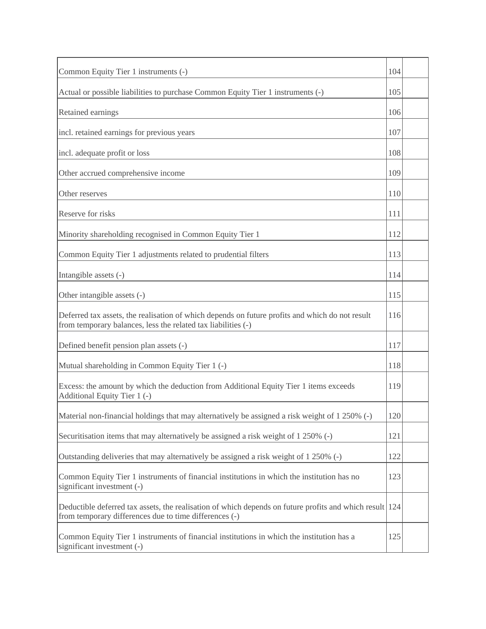| Common Equity Tier 1 instruments (-)                                                                                                                              | 104 |  |
|-------------------------------------------------------------------------------------------------------------------------------------------------------------------|-----|--|
| Actual or possible liabilities to purchase Common Equity Tier 1 instruments (-)                                                                                   | 105 |  |
| Retained earnings                                                                                                                                                 | 106 |  |
| incl. retained earnings for previous years                                                                                                                        | 107 |  |
| incl. adequate profit or loss                                                                                                                                     | 108 |  |
| Other accrued comprehensive income                                                                                                                                | 109 |  |
| Other reserves                                                                                                                                                    | 110 |  |
| Reserve for risks                                                                                                                                                 | 111 |  |
| Minority shareholding recognised in Common Equity Tier 1                                                                                                          | 112 |  |
| Common Equity Tier 1 adjustments related to prudential filters                                                                                                    | 113 |  |
| Intangible assets (-)                                                                                                                                             | 114 |  |
| Other intangible assets (-)                                                                                                                                       | 115 |  |
| Deferred tax assets, the realisation of which depends on future profits and which do not result<br>from temporary balances, less the related tax liabilities (-)  | 116 |  |
| Defined benefit pension plan assets (-)                                                                                                                           | 117 |  |
| Mutual shareholding in Common Equity Tier 1 (-)                                                                                                                   | 118 |  |
| Excess: the amount by which the deduction from Additional Equity Tier 1 items exceeds<br>Additional Equity Tier 1 (-)                                             | 119 |  |
| Material non-financial holdings that may alternatively be assigned a risk weight of 1 250% (-)                                                                    | 120 |  |
| Securitisation items that may alternatively be assigned a risk weight of 1 250% (-)                                                                               | 121 |  |
| Outstanding deliveries that may alternatively be assigned a risk weight of 1 250% (-)                                                                             | 122 |  |
| Common Equity Tier 1 instruments of financial institutions in which the institution has no<br>significant investment (-)                                          | 123 |  |
| Deductible deferred tax assets, the realisation of which depends on future profits and which result 124<br>from temporary differences due to time differences (-) |     |  |
| Common Equity Tier 1 instruments of financial institutions in which the institution has a<br>significant investment (-)                                           | 125 |  |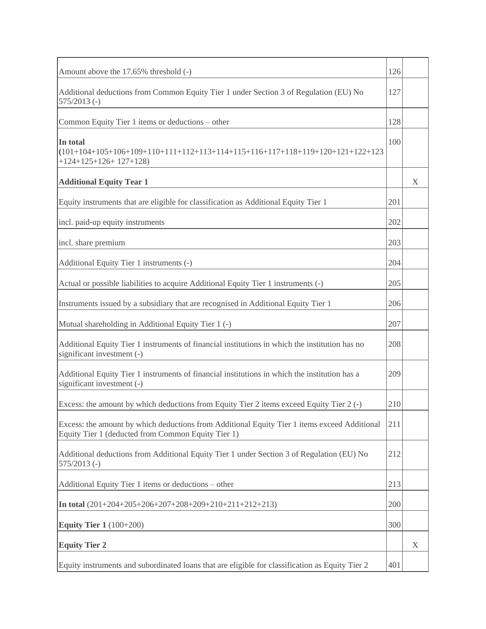| Amount above the 17.65% threshold (-)                                                                                                              | 126 |   |
|----------------------------------------------------------------------------------------------------------------------------------------------------|-----|---|
| Additional deductions from Common Equity Tier 1 under Section 3 of Regulation (EU) No<br>$575/2013$ (-)                                            | 127 |   |
| Common Equity Tier 1 items or deductions – other                                                                                                   | 128 |   |
| In total<br>$(101+104+105+106+109+110+111+112+113+114+115+116+117+118+119+120+121+122+123$<br>$+124+125+126+127+128$                               | 100 |   |
| <b>Additional Equity Tear 1</b>                                                                                                                    |     | X |
| Equity instruments that are eligible for classification as Additional Equity Tier 1                                                                | 201 |   |
| incl. paid-up equity instruments                                                                                                                   | 202 |   |
| incl. share premium                                                                                                                                | 203 |   |
| Additional Equity Tier 1 instruments (-)                                                                                                           | 204 |   |
| Actual or possible liabilities to acquire Additional Equity Tier 1 instruments (-)                                                                 | 205 |   |
| Instruments issued by a subsidiary that are recognised in Additional Equity Tier 1                                                                 | 206 |   |
| Mutual shareholding in Additional Equity Tier 1 (-)                                                                                                | 207 |   |
| Additional Equity Tier 1 instruments of financial institutions in which the institution has no<br>significant investment (-)                       | 208 |   |
| Additional Equity Tier 1 instruments of financial institutions in which the institution has a<br>significant investment (-)                        | 209 |   |
| Excess: the amount by which deductions from Equity Tier 2 items exceed Equity Tier 2 (-)                                                           | 210 |   |
| Excess: the amount by which deductions from Additional Equity Tier 1 items exceed Additional<br>Equity Tier 1 (deducted from Common Equity Tier 1) | 211 |   |
| Additional deductions from Additional Equity Tier 1 under Section 3 of Regulation (EU) No<br>$575/2013$ (-)                                        | 212 |   |
| Additional Equity Tier 1 items or deductions – other                                                                                               | 213 |   |
| In total $(201+204+205+206+207+208+209+210+211+212+213)$                                                                                           | 200 |   |
| <b>Equity Tier 1</b> (100+200)                                                                                                                     | 300 |   |
| <b>Equity Tier 2</b>                                                                                                                               |     | X |
| Equity instruments and subordinated loans that are eligible for classification as Equity Tier 2                                                    | 401 |   |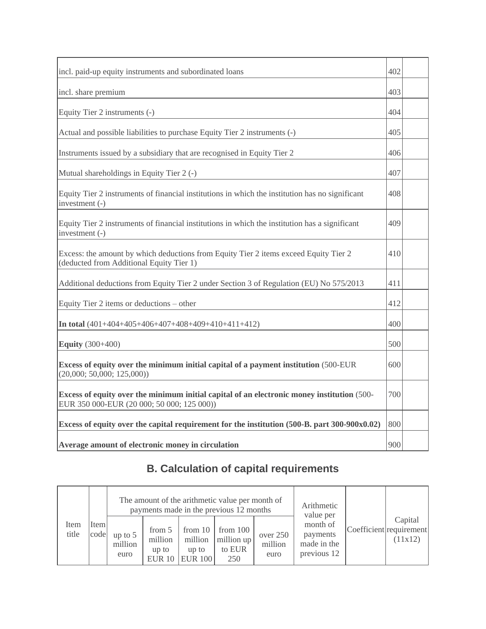| incl. paid-up equity instruments and subordinated loans                                                                                  | 402 |  |
|------------------------------------------------------------------------------------------------------------------------------------------|-----|--|
| incl. share premium                                                                                                                      | 403 |  |
| Equity Tier 2 instruments (-)                                                                                                            | 404 |  |
| Actual and possible liabilities to purchase Equity Tier 2 instruments (-)                                                                | 405 |  |
| Instruments issued by a subsidiary that are recognised in Equity Tier 2                                                                  | 406 |  |
| Mutual shareholdings in Equity Tier 2 (-)                                                                                                | 407 |  |
| Equity Tier 2 instruments of financial institutions in which the institution has no significant<br>investment (-)                        | 408 |  |
| Equity Tier 2 instruments of financial institutions in which the institution has a significant<br>investment (-)                         | 409 |  |
| Excess: the amount by which deductions from Equity Tier 2 items exceed Equity Tier 2<br>(deducted from Additional Equity Tier 1)         | 410 |  |
| Additional deductions from Equity Tier 2 under Section 3 of Regulation (EU) No 575/2013                                                  | 411 |  |
| Equity Tier 2 items or deductions – other                                                                                                | 412 |  |
| In total $(401+404+405+406+407+408+409+410+411+412)$                                                                                     | 400 |  |
| <b>Equity</b> (300+400)                                                                                                                  | 500 |  |
| Excess of equity over the minimum initial capital of a payment institution (500-EUR)<br>(20,000; 50,000; 125,000))                       | 600 |  |
| Excess of equity over the minimum initial capital of an electronic money institution (500-<br>EUR 350 000-EUR (20 000; 50 000; 125 000)) | 700 |  |
| Excess of equity over the capital requirement for the institution (500-B. part 300-900x0.02)                                             | 800 |  |
| Average amount of electronic money in circulation                                                                                        | 900 |  |

# **B. Calculation of capital requirements**

|               |              |                              |                                             |                                                 | The amount of the arithmetic value per month of<br>payments made in the previous 12 months | Arithmetic<br>value per     |                                                    |                                               |
|---------------|--------------|------------------------------|---------------------------------------------|-------------------------------------------------|--------------------------------------------------------------------------------------------|-----------------------------|----------------------------------------------------|-----------------------------------------------|
| Item<br>title | Item<br>code | up to $5$<br>million<br>euro | from 5<br>million<br>up to<br><b>EUR 10</b> | from $10$<br>million<br>up to<br><b>EUR 100</b> | from $100$<br>million $up$<br>to EUR<br>250                                                | over 250<br>million<br>euro | month of<br>payments<br>made in the<br>previous 12 | Capital<br>Coefficient requirement<br>(11x12) |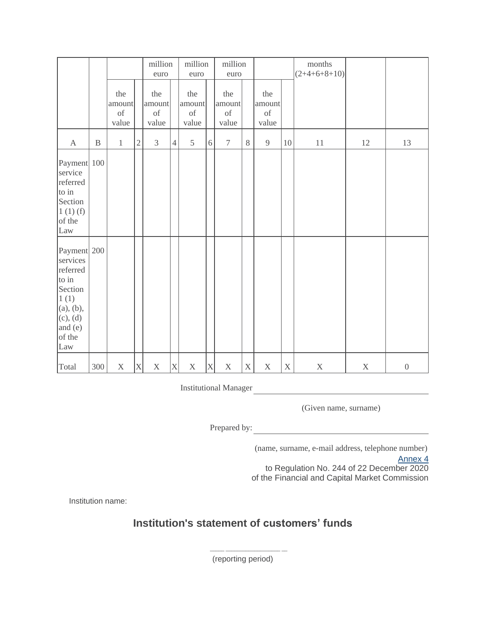|                                                                                                                      |              |                                                                                                                              |                         | euro                                                                                                                         | million        |                                                                                                                              | million<br>euro           |                                               | million<br>euro |                                                                                                                              |             | months<br>$(2+4+6+8+10)$ |             |                  |
|----------------------------------------------------------------------------------------------------------------------|--------------|------------------------------------------------------------------------------------------------------------------------------|-------------------------|------------------------------------------------------------------------------------------------------------------------------|----------------|------------------------------------------------------------------------------------------------------------------------------|---------------------------|-----------------------------------------------|-----------------|------------------------------------------------------------------------------------------------------------------------------|-------------|--------------------------|-------------|------------------|
|                                                                                                                      |              | the<br>amount<br>$% \left( \left( \mathcal{A},\mathcal{A}\right) \right) =\left( \mathcal{A},\mathcal{A}\right)$ of<br>value |                         | the<br>amount<br>$% \left( \left( \mathcal{A},\mathcal{A}\right) \right) =\left( \mathcal{A},\mathcal{A}\right)$ of<br>value |                | the<br>amount<br>$% \left( \left( \mathcal{A},\mathcal{A}\right) \right) =\left( \mathcal{A},\mathcal{A}\right)$ of<br>value |                           | the<br>amount<br>$% \overline{a}$ of<br>value |                 | the<br>amount<br>$% \left( \left( \mathcal{A},\mathcal{A}\right) \right) =\left( \mathcal{A},\mathcal{A}\right)$ of<br>value |             |                          |             |                  |
| $\boldsymbol{\mathrm{A}}$                                                                                            | $\, {\bf B}$ | $\,1\,$                                                                                                                      | $\sqrt{2}$              | $\overline{3}$                                                                                                               | $\overline{4}$ | 5                                                                                                                            | $6\,$                     | $\tau$                                        | $8\,$           | $\overline{9}$                                                                                                               | 10          | $11\,$                   | 12          | 13               |
| Payment 100<br>service<br>referred<br>to in<br>Section<br>1(1)(f)<br>of the<br>Law                                   |              |                                                                                                                              |                         |                                                                                                                              |                |                                                                                                                              |                           |                                               |                 |                                                                                                                              |             |                          |             |                  |
| Payment 200<br>services<br>referred<br>to in<br>Section<br>1(1)<br>(a), (b),<br>(c), (d)<br>and (e)<br>of the<br>Law |              |                                                                                                                              |                         |                                                                                                                              |                |                                                                                                                              |                           |                                               |                 |                                                                                                                              |             |                          |             |                  |
| Total                                                                                                                | 300          | $\mathbf X$                                                                                                                  | $\overline{\mathrm{X}}$ | X                                                                                                                            | $\vert$ X      | $\mathbf X$                                                                                                                  | $\boldsymbol{\mathrm{X}}$ | $\mathbf X$                                   | $\mathbf X$     | $\boldsymbol{\mathrm{X}}$                                                                                                    | $\mathbf X$ | $\mathbf X$              | $\mathbf X$ | $\boldsymbol{0}$ |

(Given name, surname)

Prepared by:

(name, surname, e-mail address, telephone number)

[Annex](https://m.likumi.lv/wwwraksti/2021/006/BILDES/FKTK_244/P4.DOCX) 4 to Regulation No. 244 of 22 December 2020 of the Financial and Capital Market Commission

Institution name:

## **Institution's statement of customers' funds**

(reporting period)

\_\_\_\_\_ \_\_\_\_\_\_\_\_\_\_\_\_\_\_\_\_\_\_\_ \_\_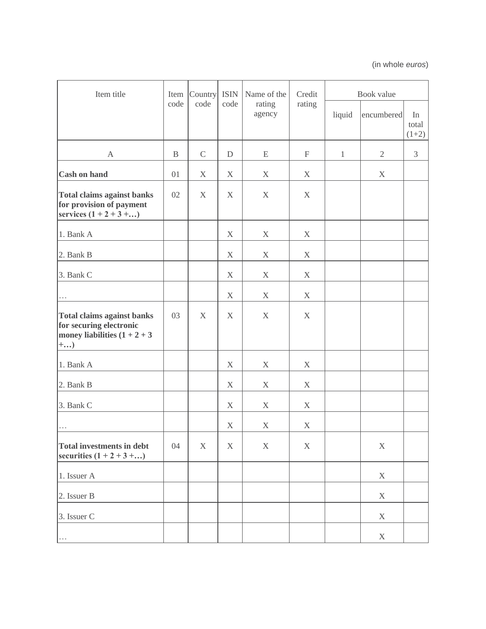| Item title                                                                                              | Item        | Country<br>code | <b>ISIN</b><br>code | Name of the      | Credit                    | Book value   |                |                        |  |
|---------------------------------------------------------------------------------------------------------|-------------|-----------------|---------------------|------------------|---------------------------|--------------|----------------|------------------------|--|
|                                                                                                         | code        |                 |                     | rating<br>agency | rating                    | liquid       | encumbered     | In<br>total<br>$(1+2)$ |  |
| $\mathbf{A}$                                                                                            | $\mathbf B$ | $\mathcal{C}$   | ${\mathcal{D}}$     | E                | $\boldsymbol{\mathrm{F}}$ | $\mathbf{1}$ | $\overline{2}$ | $\overline{3}$         |  |
| <b>Cash on hand</b>                                                                                     | 01          | X               | X                   | X                | X                         |              | X              |                        |  |
| <b>Total claims against banks</b><br>for provision of payment<br>services $(1 + 2 + 3 + )$              | 02          | X               | X                   | $\mathbf X$      | $\boldsymbol{X}$          |              |                |                        |  |
| 1. Bank A                                                                                               |             |                 | X                   | X                | X                         |              |                |                        |  |
| 2. Bank B                                                                                               |             |                 | $\mathbf X$         | X                | X                         |              |                |                        |  |
| 3. Bank C                                                                                               |             |                 | $\mathbf X$         | X                | X                         |              |                |                        |  |
|                                                                                                         |             |                 | X                   | X                | X                         |              |                |                        |  |
| <b>Total claims against banks</b><br>for securing electronic<br>money liabilities $(1 + 2 + 3)$<br>$+)$ | 03          | X               | X                   | X                | X                         |              |                |                        |  |
| 1. Bank A                                                                                               |             |                 | X                   | X                | X                         |              |                |                        |  |
| 2. Bank B                                                                                               |             |                 | X                   | X                | X                         |              |                |                        |  |
| 3. Bank C                                                                                               |             |                 | X                   | X                | X                         |              |                |                        |  |
| $\cdots$                                                                                                |             |                 | X                   | X                | X                         |              |                |                        |  |
| <b>Total investments in debt</b><br>securities $(1 + 2 + 3 + )$                                         | 04          | $\mathbf X$     | $\mathbf X$         | $\mathbf X$      | $\mathbf X$               |              | $\mathbf X$    |                        |  |
| 1. Issuer A                                                                                             |             |                 |                     |                  |                           |              | X              |                        |  |
| 2. Issuer B                                                                                             |             |                 |                     |                  |                           |              | X              |                        |  |
| 3. Issuer C                                                                                             |             |                 |                     |                  |                           |              | $\mathbf X$    |                        |  |
| $\ldots$                                                                                                |             |                 |                     |                  |                           |              | $\mathbf X$    |                        |  |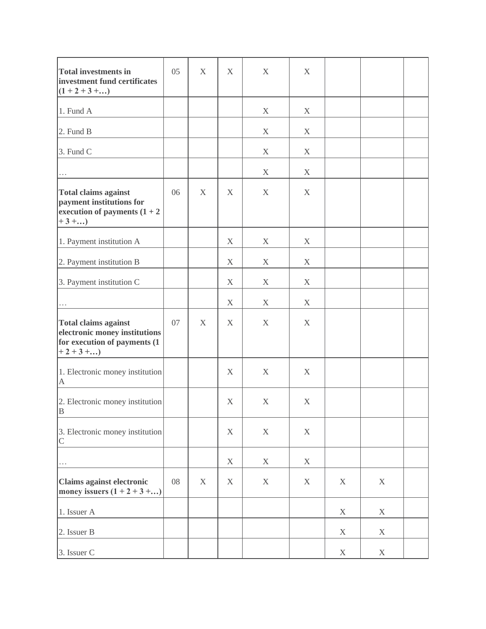| <b>Total investments in</b><br>investment fund certificates<br>$(1 + 2 + 3 + )$                         | 05 | X           | X                         | X           | X           |             |             |  |
|---------------------------------------------------------------------------------------------------------|----|-------------|---------------------------|-------------|-------------|-------------|-------------|--|
| 1. Fund A                                                                                               |    |             |                           | X           | X           |             |             |  |
| 2. Fund B                                                                                               |    |             |                           | X           | X           |             |             |  |
| 3. Fund C                                                                                               |    |             |                           | X           | X           |             |             |  |
| $\cdots$                                                                                                |    |             |                           | X           | X           |             |             |  |
| <b>Total claims against</b><br>payment institutions for<br>execution of payments $(1 + 2)$<br>$+3 + $   | 06 | X           | X                         | X           | X           |             |             |  |
| 1. Payment institution A                                                                                |    |             | $\mathbf X$               | $\mathbf X$ | X           |             |             |  |
| 2. Payment institution B                                                                                |    |             | X                         | X           | X           |             |             |  |
| 3. Payment institution C                                                                                |    |             | X                         | X           | X           |             |             |  |
| $\cdots$                                                                                                |    |             | X                         | X           | X           |             |             |  |
| <b>Total claims against</b><br>electronic money institutions<br>for execution of payments (1<br>$+2+3+$ | 07 | $\mathbf X$ | X                         | X           | X           |             |             |  |
| 1. Electronic money institution<br>$\mathbf{A}$                                                         |    |             | X                         | X           | X           |             |             |  |
| 2. Electronic money institution<br><sup>B</sup>                                                         |    |             | X                         | X           | X           |             |             |  |
| 3. Electronic money institution<br>$\mathsf C$                                                          |    |             | $\boldsymbol{\mathrm{X}}$ | $\mathbf X$ | $\mathbf X$ |             |             |  |
| $\cdots$                                                                                                |    |             | $\mathbf X$               | $\mathbf X$ | $\mathbf X$ |             |             |  |
| Claims against electronic<br>money issuers $(1 + 2 + 3 + )$                                             | 08 | $\mathbf X$ | X                         | $\mathbf X$ | $\mathbf X$ | $\mathbf X$ | $\mathbf X$ |  |
| 1. Issuer A                                                                                             |    |             |                           |             |             | $\mathbf X$ | X           |  |
| 2. Issuer B                                                                                             |    |             |                           |             |             | $\mathbf X$ | $\mathbf X$ |  |
| 3. Issuer C                                                                                             |    |             |                           |             |             | $\mathbf X$ | $\mathbf X$ |  |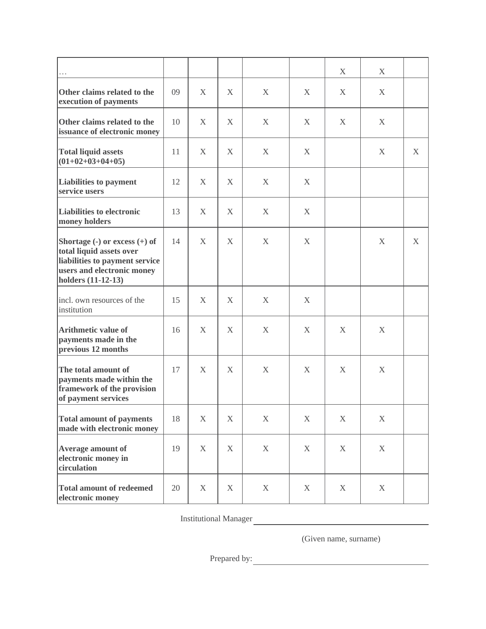|                                                                                                                                                                                         |    |             |              |             |             | X            | X           |   |
|-----------------------------------------------------------------------------------------------------------------------------------------------------------------------------------------|----|-------------|--------------|-------------|-------------|--------------|-------------|---|
| Other claims related to the<br>execution of payments                                                                                                                                    | 09 | X           | X            | X           | X           | X            | X           |   |
| Other claims related to the<br>issuance of electronic money                                                                                                                             | 10 | X           | X            | X           | X           | X            | X           |   |
| <b>Total liquid assets</b><br>$(01+02+03+04+05)$                                                                                                                                        | 11 | X           | $\mathbf{X}$ | X           | X           |              | X           | X |
| <b>Liabilities to payment</b><br>service users                                                                                                                                          | 12 | X           | $\mathbf{X}$ | X           | X           |              |             |   |
| <b>Liabilities to electronic</b><br>money holders                                                                                                                                       | 13 | X           | X            | X           | X           |              |             |   |
| Shortage $\left(\text{-}\right)$ or excess $\left(\text{+}\right)$ of<br>total liquid assets over<br>liabilities to payment service<br>users and electronic money<br>holders (11-12-13) | 14 | X           | X            | X           | X           |              | X           | X |
| incl. own resources of the<br>institution                                                                                                                                               | 15 | X           | $\mathbf{X}$ | X           | X           |              |             |   |
| <b>Arithmetic value of</b><br>payments made in the<br>previous 12 months                                                                                                                | 16 | X           | X            | X           | X           | $\mathbf{X}$ | X           |   |
| The total amount of<br>payments made within the<br>framework of the provision<br>of payment services                                                                                    | 17 | X           | X            | X           | X           | X            | X           |   |
| <b>Total amount of payments</b><br>made with electronic money                                                                                                                           | 18 | $\mathbf X$ | X            | $\mathbf X$ | $\mathbf X$ | $\mathbf X$  | $\mathbf X$ |   |
| Average amount of<br>electronic money in<br>circulation                                                                                                                                 | 19 | X           | X            | X           | X           | X            | X           |   |
| <b>Total amount of redeemed</b><br>electronic money                                                                                                                                     | 20 | X           | X            | X           | X           | X            | X           |   |

(Given name, surname)

Prepared by: <u>contract the contract of the contract of the contract of the contract of the contract of the contract of the contract of the contract of the contract of the contract of the contract of the contract of the con</u>